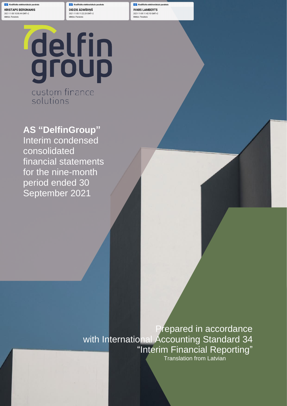**KRISTAPS BERGMANIS** 2021-11-05 10:55:44 GMT+2 Mērkis: Paraksts

**Kyalificēts elektroniskais parakst** DIDZIS ĀDMĪDIŅŠ 2021-11-05 11:22:20 GMT+2 Mērkis: Paraksts

AS DelfinGroup Interim condensed consolidated financial **IVARS LAMBERTS** 2021-11-05 11:42:10 GMT+2 Mērkis: Paraksts

statements for the period ended 30 September 2021

delfin<br>group custom finance

solutions

**AS "DelfinGroup"** Interim condensed consolidated financial statements for the nine-month period ended 30 September 2021

> Prepared in accordance with International Accounting Standard 34 "Interim Financial Reporting" Translation from Latvian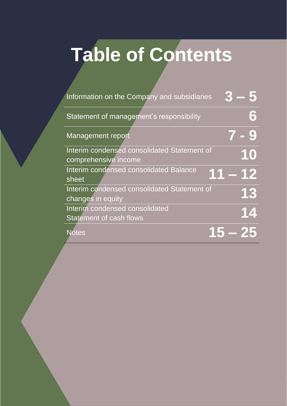# **Table of Contents**

| Information on the Company and subsidiaries |        |
|---------------------------------------------|--------|
| Statement of management's responsibility    | 6      |
| <b>Management report</b>                    |        |
| Interim condensed consolidated Statement of | 10     |
| comprehensive income                        |        |
| Interim condensed consolidated Balance      | 1 – 12 |
| sheet                                       |        |
| Interim condensed consolidated Statement of | 13     |
| changes in equity                           |        |
| Interim condensed consolidated              | 14     |
| <b>Statement of cash flows</b>              |        |
| Notes                                       |        |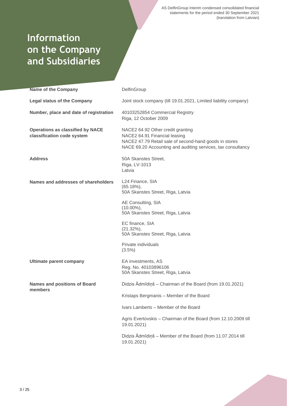# **Information on the Company and Subsidiaries**

| <b>Name of the Company</b>                                            | DelfinGroup                                                                                                                                                                                  |
|-----------------------------------------------------------------------|----------------------------------------------------------------------------------------------------------------------------------------------------------------------------------------------|
| <b>Legal status of the Company</b>                                    | Joint stock company (till 19.01.2021, Limited liability company)                                                                                                                             |
| Number, place and date of registration                                | 40103252854 Commercial Registry<br>Riga, 12 October 2009                                                                                                                                     |
| <b>Operations as classified by NACE</b><br>classification code system | NACE2 64.92 Other credit granting<br>NACE2 64.91 Financial leasing<br>NACE2 47.79 Retail sale of second-hand goods in stores<br>NACE 69.20 Accounting and auditing services, tax consultancy |
| <b>Address</b>                                                        | 50A Skanstes Street,<br>Riga, LV-1013<br>Latvia                                                                                                                                              |
| Names and addresses of shareholders                                   | L24 Finance, SIA<br>$(65.18\%)$<br>50A Skanstes Street, Riga, Latvia                                                                                                                         |
|                                                                       | AE Consulting, SIA<br>$(10.00\%)$ ,<br>50A Skanstes Street, Riga, Latvia                                                                                                                     |
|                                                                       | EC finance, SIA<br>$(21.32\%),$<br>50A Skanstes Street, Riga, Latvia                                                                                                                         |
|                                                                       | Private individuals<br>$(3.5\%)$                                                                                                                                                             |
| <b>Ultimate parent company</b>                                        | EA investments, AS<br>Reg. No. 40103896106<br>50A Skanstes Street, Riga, Latvia                                                                                                              |
| <b>Names and positions of Board</b><br>members                        | Didzis Ādmīdiņš - Chairman of the Board (from 19.01.2021)                                                                                                                                    |
|                                                                       | Kristaps Bergmanis - Member of the Board                                                                                                                                                     |
|                                                                       | Ivars Lamberts - Member of the Board                                                                                                                                                         |
|                                                                       | Agris Evertovskis - Chairman of the Board (from 12.10.2009 till<br>19.01.2021)                                                                                                               |
|                                                                       | Didzis Ādmīdiņš - Member of the Board (from 11.07.2014 till<br>19.01.2021)                                                                                                                   |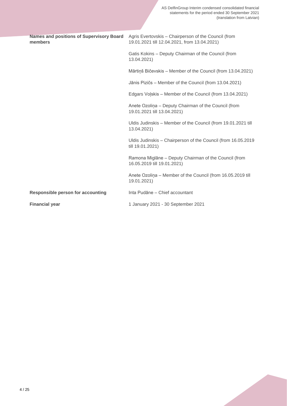| members                                  | Names and positions of Supervisory Board Agris Evertovskis - Chairperson of the Council (from<br>19.01.2021 till 12.04.2021, from 13.04.2021) |
|------------------------------------------|-----------------------------------------------------------------------------------------------------------------------------------------------|
|                                          | Gatis Kokins - Deputy Chairman of the Council (from<br>13.04.2021)                                                                            |
|                                          | Mārtiņš Bičevskis - Member of the Council (from 13.04.2021)                                                                                   |
|                                          | Jānis Pizičs – Member of the Council (from 13.04.2021)                                                                                        |
|                                          | Edgars Volskis - Member of the Council (from 13.04.2021)                                                                                      |
|                                          | Anete Ozolina - Deputy Chairman of the Council (from<br>19.01.2021 till 13.04.2021)                                                           |
|                                          | Uldis Judinskis - Member of the Council (from 19.01.2021 till<br>13.04.2021)                                                                  |
|                                          | Uldis Judinskis - Chairperson of the Council (from 16.05.2019<br>till 19.01.2021)                                                             |
|                                          | Ramona Miglāne - Deputy Chairman of the Council (from<br>16.05.2019 till 19.01.2021)                                                          |
|                                          | Anete Ozolina - Member of the Council (from 16.05.2019 till<br>19.01.2021)                                                                    |
| <b>Responsible person for accounting</b> | Inta Pudāne - Chief accountant                                                                                                                |
| <b>Financial year</b>                    | 1 January 2021 - 30 September 2021                                                                                                            |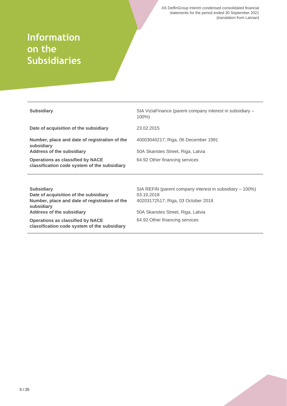# **Information on the Subsidiaries**

| <b>Subsidiary</b>                                                                       | SIA ViziaFinance (parent company interest in subsidiary –<br>$100\%$ |
|-----------------------------------------------------------------------------------------|----------------------------------------------------------------------|
| Date of acquisition of the subsidiary                                                   | 23.02.2015                                                           |
| Number, place and date of registration of the<br>subsidiary                             | 40003040217; Riga, 06 December 1991                                  |
| <b>Address of the subsidiary</b>                                                        | 50A Skanstes Street, Riga, Latvia                                    |
| <b>Operations as classified by NACE</b><br>classification code system of the subsidiary | 64.92 Other financing services                                       |
|                                                                                         |                                                                      |
| <b>Subsidiary</b>                                                                       | SIA REFIN (parent company interest in subsidiary – 100%)             |
| Date of acquisition of the subsidiary                                                   | 03.10.2018                                                           |
| Number, place and date of registration of the<br>subsidiary                             | 40203172517; Riga, 03 October 2018                                   |
| <b>Address of the subsidiary</b>                                                        | 50A Skanstes Street, Riga, Latvia                                    |
| <b>Operations as classified by NACE</b><br>classification code system of the subsidiary | 64.92 Other financing services                                       |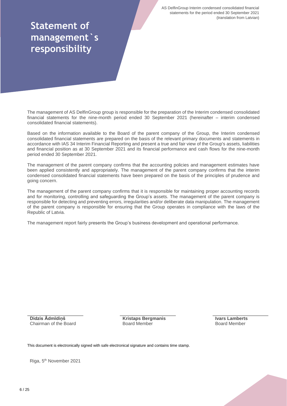# **Statement of management`s responsibility**

The management of AS DelfinGroup group is responsible for the preparation of the Interim condensed consolidated financial statements for the nine-month period ended 30 September 2021 (hereinafter – interim condensed consolidated financial statements).

Based on the information available to the Board of the parent company of the Group, the Interim condensed consolidated financial statements are prepared on the basis of the relevant primary documents and statements in accordance with IAS 34 Interim Financial Reporting and present a true and fair view of the Group's assets, liabilities and financial position as at 30 September 2021 and its financial performance and cash flows for the nine-month period ended 30 September 2021.

The management of the parent company confirms that the accounting policies and management estimates have been applied consistently and appropriately. The management of the parent company confirms that the interim condensed consolidated financial statements have been prepared on the basis of the principles of prudence and going concern.

The management of the parent company confirms that it is responsible for maintaining proper accounting records and for monitoring, controlling and safeguarding the Group's assets. The management of the parent company is responsible for detecting and preventing errors, irregularities and/or deliberate data manipulation. The management of the parent company is responsible for ensuring that the Group operates in compliance with the laws of the Republic of Latvia.

The management report fairly presents the Group's business development and operational performance.

**Didzis Ādmīdiņš** Chairman of the Board **Kristaps Bergmanis** Board Member

**Ivars Lamberts** Board Member

This document is electronically signed with safe electronical signature and contains time stamp.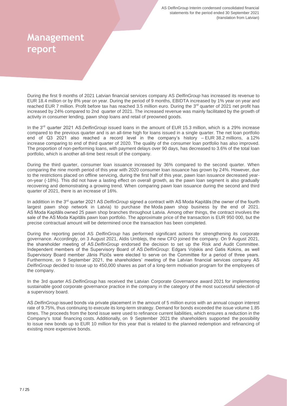# **Management report**

During the first 9 months of 2021 Latvian financial services company AS *DelfinGroup* has increased its revenue to EUR 18.4 million or by 8% year on year. During the period of 9 months, EBIDTA increased by 1% year on year and reached EUR 7 million. Profit before tax has reached 3.5 million euro. During the 3<sup>rd</sup> quarter of 2021 net profit has increased by 24% compared to 2nd quarter of 2021. The increased revenue was mainly facilitated by the growth of activity in consumer lending, pawn shop loans and retail of preowned goods.

In the 3<sup>rd</sup> quarter 2021 AS *DelfinGroup* issued loans in the amount of EUR 15.3 million, which is a 29% increase compared to the previous quarter and is an all-time high for loans issued in a single quarter. The net loan portfolio end of Q3 2021 also reached a record level in the company's history – EUR 38.2 millions, a 12% increase comparing to end of third quarter of 2020. The quality of the consumer loan portfolio has also improved. The proportion of non-performing loans, with payment delays over 90 days, has decreased to 3.6% of the total loan portfolio, which is another all-time best result of the company.

During the third quarter, consumer loan issuance increased by 36% compared to the second quarter. When comparing the nine month period of this year with 2020 consumer loan issuance has grown by 24%. However, due to the restrictions placed on offline servicing, during the first half of this year, pawn loan issuance decreased yearon-year (-18%). This did not have a lasting effect on overall growth, as the pawn loan segment is also gradually recovering and demonstrating a growing trend. When comparing pawn loan issuance during the second and third quarter of 2021, there is an increase of 16%.

In addittion in the 3<sup>rd</sup> quarter 2021 AS *DelfinGroup* signed a contract with AS Moda Kapitāls (the owner of the fourth largest pawn shop network in Latvia) to purchase the Moda pawn shop business by the end of 2021. AS Moda Kapitāls owned 25 pawn shop branches throughout Latvia. Among other things, the contract involves the sale of the AS Moda Kapitāls pawn loan portfolio. The approximate price of the transaction is EUR 950 000, but the precise contractual amount will be determined once the transaction has been completed.

During the reporting period AS *DelfinGroup* has performed significant actions for strengthening its corporate governance. Accordingly, on 3 August 2021, Aldis Umblejs, the new CFO joined the company. On 9 August 2021, the shareholder meeting of AS *DelfinGroup* endorsed the decision to set up the Risk and Audit Committee. Independent members of the Supervisory Board of AS *DelfinGroup*: Edgars Voļskis and Gatis Kokins, as well Supervisory Board member Jānis Pizičs were elected to serve on the Committee for a period of three years. Furthermore, on 9 September 2021, the shareholders' meeting of the Latvian financial services company AS *DelfinGroup* decided to issue up to 450,000 shares as part of a long-term motivation program for the employees of the company.

In the 3rd quarter AS *DelfinGroup* has received the Latvian Corporate Governance award 2021 for implementing sustainable good corporate governance practice in the company in the category of the most successful selection of a supervisory board.

AS *DelfinGroup* issued bonds via private placement in the amount of 5 million euros with an annual coupon interest rate of 9.75%, thus continuing to execute its long-term strategy. Demand for bonds exceeded the issue volume 1.85 times. The proceeds from the bond issue were used to refinance current liabilities, which ensures a reduction in the Company's total financing costs. Additionally, on 9 September 2021 the shareholders supported the possibility to issue new bonds up to EUR 10 million for this year that is related to the planned redemption and refinancing of existing more expensive bonds.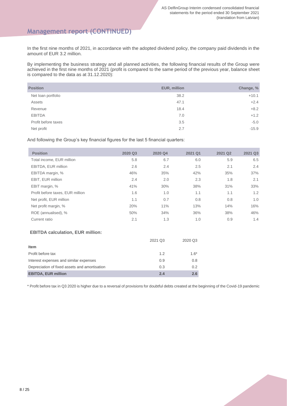## **Management report (CONTINUED)**

In the first nine months of 2021, in accordance with the adopted dividend policy, the company paid dividends in the amount of EUR 3.2 million.

By implementing the business strategy and all planned activities, the following financial results of the Group were achieved in the first nine months of 2021 (profit is compared to the same period of the previous year, balance sheet is compared to the data as at 31.12.2020):

| <b>Position</b>     | EUR, million | Change, % |
|---------------------|--------------|-----------|
| Net loan portfolio  | 38.2         | $+10.1$   |
| Assets              | 47.1         | $+2.4$    |
| Revenue             | 18.4         | $+8.2$    |
| <b>EBITDA</b>       | 7.0          | $+1.2$    |
| Profit before taxes | 3.5          | $-5.0$    |
| Net profit          | 2.7          | $-15.9$   |

And following the Group's key financial figures for the last 5 financial quarters:

| <b>Position</b>                  | 2020 Q3 | 2020 Q4 | 2021 Q1 | 2021 Q2 | 2021 Q3 |
|----------------------------------|---------|---------|---------|---------|---------|
| Total income, EUR million        | 5.8     | 6.7     | 6.0     | 5.9     | 6.5     |
| EBITDA, EUR million              | 2.6     | 2.4     | 2.5     | 2.1     | 2.4     |
| EBITDA margin, %                 | 46%     | 35%     | 42%     | 35%     | 37%     |
| EBIT, EUR million                | 2.4     | 2.0     | 2.3     | 1.8     | 2.1     |
| EBIT margin, %                   | 41%     | 30%     | 38%     | 31%     | 33%     |
| Profit before taxes, EUR million | 1.6     | 1.0     | 1.1     | 1.1     | 1.2     |
| Net profit, EUR million          | 1.1     | 0.7     | 0.8     | 0.8     | 1.0     |
| Net profit margin, %             | 20%     | 11%     | 13%     | 14%     | 16%     |
| ROE (annualised), %              | 50%     | 34%     | 36%     | 38%     | 46%     |
| Current ratio                    | 2.1     | 1.3     | 1.0     | 0.9     | 1.4     |

#### **EBITDA calculation, EUR million:**

|                                               | 2021 Q3 | 2020 Q3 |
|-----------------------------------------------|---------|---------|
| Item                                          |         |         |
| Profit before tax                             | 1.2     | $1.6*$  |
| Interest expenses and similar expenses        | 0.9     | 0.8     |
| Depreciation of fixed assets and amortisation | 0.3     | 0.2     |
| <b>EBITDA, EUR million</b>                    | 2.4     | 2.6     |

\* Profit before tax in Q3 2020 is higher due to a reversal of provisions for doubtful debts created at the beginning of the Covid-19 pandemic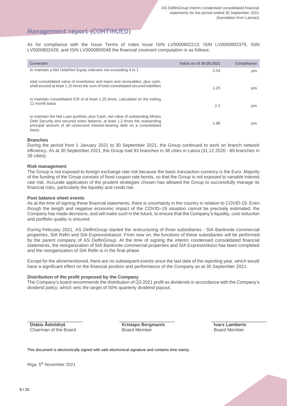## **Management report (CONTINUED)**

As for compliance with the Issue Terms of notes issue ISIN LV0000802213, ISIN LV0000802379, ISIN LV0000802429, and ISIN LV0000850048 the financial covenant computation is as follows:

| Covenant                                                                                                                                                                                                                                             | Value as of 30.09.2021 | <b>Compliance</b> |
|------------------------------------------------------------------------------------------------------------------------------------------------------------------------------------------------------------------------------------------------------|------------------------|-------------------|
| to maintain a Net Debt/Net Equity indicator not exceeding 4 to 1                                                                                                                                                                                     | 3.54                   | yes               |
| total consolidated value of inventories and loans and receivables, plus cash,<br>shall exceed at least 1.15 times the sum of total consolidated secured liabilities                                                                                  | 1.25                   | yes               |
| to maintain consolidated ICR of at least 1.25 times, calculated on the trailing<br>12 month basis                                                                                                                                                    | 2.2                    | yes               |
| to maintain the Net Loan portfolio, plus Cash, net value of outstanding Mintos<br>Debt Security and secured notes balance, at least 1.2 times the outstanding<br>principal amount of all unsecured interest-bearing debt on a consolidated<br>basis. | 1.88                   | yes               |

#### **Branches**

During the period from 1 January 2021 to 30 September 2021, the Group continued to work on branch network efficiency. As at 30 September 2021, the Group had 93 branches in 38 cities in Latvia (31.12.2020 - 89 branches in 38 cities).

#### **Risk management**

The Group is not exposed to foreign exchange rate risk because the basic transaction currency is the Euro. Majority of the funding of the Group consists of fixed coupon rate bonds, so that the Group is not exposed to variable interest rate risk. Accurate application of the prudent strategies chosen has allowed the Group to successfully manage its financial risks, particularly the liquidity and credit risk.

#### **Post balance sheet events**

As at the time of signing these financial statements, there is uncertainty in the country in relation to COVID-19. Even though the length and negative economic impact of the COVID–19 situation cannot be precisely estimated, the Company has made decisions, and will make such in the future, to ensure that the Company's liquidity, cost reduction and portfolio quality is ensured.

During February 2021, AS *DelfinGroup* started the restructuring of three subsidiaries - SIA Banknote commercial properties, SIA Refin and SIA ExpressInkasso. From now on, the functions of these subsidiaries will be performed by the parent company of AS *DelfinGroup*. At the time of signing the interim condensed consolidated financial statements, the reorganization of SIA Banknote commercial properties and SIA ExpressInksso has been completed and the reorganization of SIA Refin is in the final phase.

Except for the aforementioned, there are no subsequent events since the last date of the reporting year, which would have a significant effect on the financial position and performance of the Company as at 30 September 2021.

#### **Distribution of the profit proposed by the Company**

The Company's board recommends the distribution of Q3 2021 profit as dividends in accordance with the Company's dividend policy, which sets the target of 50% quarterly dividend payout.

**Didzis Ādmīdiņš** Chairman of the Board **Kristaps Bergmanis** Board Member

**Ivars Lamberts** Board Member

This document is electronically signed with safe electronical signature and contains time stamp.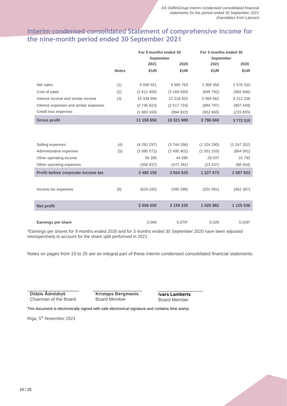## **Interim condensed consolidated Statement of comprehensive income for the nine-month period ended 30 September 2021**

|                                        |              | For 9 months ended 30 |            | For 3 months ended 30 |            |
|----------------------------------------|--------------|-----------------------|------------|-----------------------|------------|
|                                        |              | <b>September</b>      |            | <b>September</b>      |            |
|                                        |              | 2021                  | 2020       | 2021                  | 2020       |
|                                        | <b>Notes</b> | <b>EUR</b>            | <b>EUR</b> | <b>EUR</b>            | <b>EUR</b> |
|                                        |              |                       |            |                       |            |
| Net sales                              | (1)          | 4 0 5 9 5 5 1         | 4 685 763  | 1 368 356             | 1576310    |
| Cost of sales                          | (2)          | (2611406)             | (3169580)  | (848792)              | (992846)   |
| Interest income and similar income     | (3)          | 14 339 594            | 12 318 452 | 5 094 562             | 4 212 158  |
| Interest expenses and similar expenses |              | (2745923)             | (2517724)  | (884797)              | (807449)   |
| Credit loss expenses                   |              | (1883160)             | (994922)   | (932663)              | (215655)   |
| <b>Gross profit</b>                    |              | 11 158 656            | 10 321 989 | 3796666               | 3772518    |
|                                        |              |                       |            |                       |            |
|                                        |              |                       |            |                       |            |
| Selling expenses                       | (4)          | (4292297)             | (3744266)  | (1524280)             | (1247352)  |
| Administrative expenses                | (5)          | (3085572)             | (2495402)  | (1051103)             | (864581)   |
| Other operating income                 |              | 56 300                | 44 595     | 29 0 37               | 15792      |
| Other operating expenses               |              | (356937)              | (472391)   | (23 247)              | (88454)    |
| Profit before corporate income tax     |              | 3 480 150             | 3 654 525  | 1 227 073             | 1 587 923  |
|                                        |              |                       |            |                       |            |
| Income tax expenses                    | (6)          | (824 100)             | (495 299)  | (201091)              | (462 387)  |
|                                        |              |                       |            |                       |            |
| <b>Net profit</b>                      |              | 2656050               | 3 159 226  | 1 025 982             | 1 125 536  |
|                                        |              |                       |            |                       |            |
| Earnings per share                     |              | 0.066                 | $0.079*$   | 0.026                 | $0.028*$   |

\*Earnings per shares for 9 months ended 2020 and for 3 months ended 30 September 2020 have been adjusted retrospectively to account for the share split performed in 2021.

Notes on pages from 15 to 25 are an integral part of these interim condensed consolidated financial statements.

**Didzis Ādmīdiņš** Chairman of the Board **Kristaps Bergmanis** Board Member

**Ivars Lamberts** Board Member

This document is electronically signed with safe electronical signature and contains time stamp.

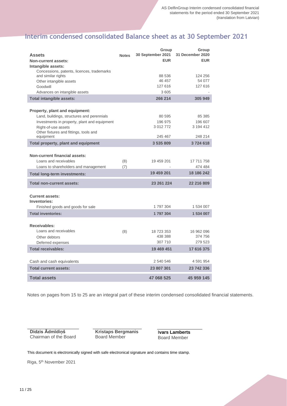# **Interim condensed consolidated Balance sheet as at 30 September 2021**

| <b>Assets</b><br>Non-current assets:<br>Intangible assets:                                                    | <b>Notes</b> | Group<br>30 September 2021<br><b>EUR</b> | Group<br>31 December 2020<br><b>EUR</b> |
|---------------------------------------------------------------------------------------------------------------|--------------|------------------------------------------|-----------------------------------------|
| Concessions, patents, licences, trademarks<br>and similar rights<br>Other intangible assets                   |              | 88 536<br>46 457                         | 124 256<br>54 077                       |
| Goodwill<br>Advances on intangible assets                                                                     |              | 127 616<br>3 605                         | 127 616                                 |
| <b>Total intangible assets:</b>                                                                               |              | 266 214                                  | 305 949                                 |
| <b>Property, plant and equipment:</b><br>Land, buildings, structures and perennials                           |              | 80 595                                   | 85 385                                  |
| Investments in property, plant and equipment<br>Right-of-use assets<br>Other fixtures and fittings, tools and |              | 196 975<br>3 012 772<br>245 467          | 196 607<br>3 194 412<br>248 214         |
| equipment<br>Total property, plant and equipment                                                              |              | 3 535 809                                | 3724618                                 |
| <b>Non-current financial assets:</b><br>Loans and receivables<br>Loans to shareholders and management         | (8)<br>(7)   | 19 459 201                               | 17 711 758<br>474 484                   |
| <b>Total long-term investments:</b>                                                                           |              | 19 459 201                               | 18 186 242                              |
| <b>Total non-current assets:</b>                                                                              |              | 23 261 224                               | 22 216 809                              |
| <b>Current assets:</b><br>Inventories:                                                                        |              |                                          |                                         |
| Finished goods and goods for sale                                                                             |              | 1 797 304                                | 1 534 007                               |
| <b>Total inventories:</b>                                                                                     |              | 1797304                                  | 1 534 007                               |
| Receivables:<br>Loans and receivables<br>Other debtors<br>Deferred expenses                                   | (8)          | 18 723 353<br>438 388<br>307 710         | 16 962 096<br>374 756<br>279 523        |
| <b>Total receivables:</b>                                                                                     |              | 19 469 451                               | 17 616 375                              |
| Cash and cash equivalents                                                                                     |              | 2 540 546                                | 4 591 954                               |
| <b>Total current assets:</b>                                                                                  |              | 23 807 301                               | 23 742 336                              |
| <b>Total assets</b>                                                                                           |              | 47 068 525                               | 45 959 145                              |

Notes on pages from 15 to 25 are an integral part of these interim condensed consolidated financial statements.

**Didzis Ādmīdiņš** Chairman of the Board **Kristaps Bergmanis** Board Member

**Ivars Lamberts** Board Member

This document is electronically signed with safe electronical signature and contains time stamp.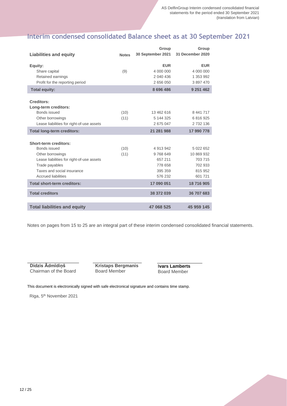# **Interim condensed consolidated Balance sheet as at 30 September 2021**

|                                             |              | Group             | Group            |
|---------------------------------------------|--------------|-------------------|------------------|
| <b>Liabilities and equity</b>               | <b>Notes</b> | 30 September 2021 | 31 December 2020 |
|                                             |              | <b>EUR</b>        | <b>EUR</b>       |
| Equity:<br>Share capital                    | (9)          | 4 000 000         | 4 000 000        |
| Retained earnings                           |              | 2 040 436         | 1 353 992        |
| Profit for the reporting period             |              | 2 656 050         | 3 897 470        |
|                                             |              |                   |                  |
| <b>Total equity:</b>                        |              | 8 696 486         | 9 251 462        |
|                                             |              |                   |                  |
| Creditors:                                  |              |                   |                  |
| Long-term creditors:<br><b>Bonds issued</b> | (10)         | 13 462 616        | 8 441 717        |
| Other borrowings                            | (11)         | 5 144 325         | 6816925          |
| Lease liabilities for right-of-use assets   |              | 2675047           | 2 732 136        |
|                                             |              |                   |                  |
| <b>Total long-term creditors:</b>           |              | 21 281 988        | 17 990 778       |
|                                             |              |                   |                  |
| Short-term creditors:<br>Bonds issued       | (10)         | 4 913 942         | 5 022 652        |
| Other borrowings                            | (11)         | 9768649           | 10 869 932       |
| Lease liabilities for right-of-use assets   |              | 657 211           | 703 715          |
| Trade payables                              |              | 778 658           | 702 933          |
| Taxes and social insurance                  |              | 395 359           | 815 952          |
| <b>Accrued liabilities</b>                  |              | 576 232           | 601 721          |
| <b>Total short-term creditors:</b>          |              | 17 090 051        | 18716905         |
| <b>Total creditors</b>                      |              | 38 372 039        | 36 707 683       |
|                                             |              |                   |                  |
| <b>Total liabilities and equity</b>         |              | 47 068 525        | 45 959 145       |

Notes on pages from 15 to 25 are an integral part of these interim condensed consolidated financial statements.

**Didzis Ādmīdiņš** Chairman of the Board **Kristaps Bergmanis** Board Member

**Ivars Lamberts** Board Member

This document is electronically signed with safe electronical signature and contains time stamp.

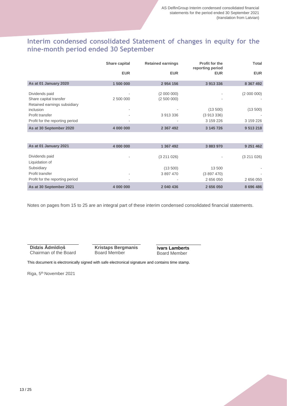# **Interim condensed consolidated Statement of changes in equity for the nine-month period ended 30 September**

|                                                                                                          | Share capital  | <b>Retained earnings</b>              | <b>Profit for the</b><br>reporting period         | Total                 |
|----------------------------------------------------------------------------------------------------------|----------------|---------------------------------------|---------------------------------------------------|-----------------------|
|                                                                                                          | <b>EUR</b>     | <b>EUR</b>                            | <b>EUR</b>                                        | <b>EUR</b>            |
| As at 01 January 2020                                                                                    | 1 500 000      | 2 954 156                             | 3 913 336                                         | 8 3 6 7 4 9 2         |
| Dividends paid<br>Share capital transfer<br>Retained earnings subsidiary<br>inclusion<br>Profit transfer | 2 500 000<br>٠ | (2 000 000)<br>(2500000)<br>3 913 336 | $\overline{\phantom{a}}$<br>(13 500)<br>(3913336) | (2000000)<br>(13 500) |
| Profit for the reporting period                                                                          |                |                                       | 3 159 226                                         | 3 159 226             |
| As at 30 September 2020                                                                                  | 4 000 000      | 2 367 492                             | 3 145 726                                         | 9 513 218             |
|                                                                                                          |                |                                       |                                                   |                       |
| As at 01 January 2021                                                                                    | 4 000 000      | 1 367 492                             | 3 883 970                                         | 9 251 462             |
| Dividonde noid                                                                                           |                | (0.011000)                            |                                                   | (0.011000)            |

| As at 30 September 2021         | 4 000 000                | 2 040 436 | 2 656 050                | 8 696 486 |
|---------------------------------|--------------------------|-----------|--------------------------|-----------|
| Profit for the reporting period | $\overline{\phantom{a}}$ | ۰         | 2 656 050                | 2 656 050 |
| Profit transfer                 | $\overline{\phantom{a}}$ | 3 897 470 | (3897470)                |           |
| Subsidiary                      |                          | (13, 500) | 13 500                   | ۰         |
| Liquidation of                  |                          |           |                          |           |
| Dividends paid                  |                          | (3211026) | $\overline{\phantom{a}}$ | (3211026) |

Notes on pages from 15 to 25 are an integral part of these interim condensed consolidated financial statements.

**Didzis Ādmīdiņš** Chairman of the Board **Kristaps Bergmanis** Board Member

**Ivars Lamberts** Board Member

This document is electronically signed with safe electronical signature and contains time stamp.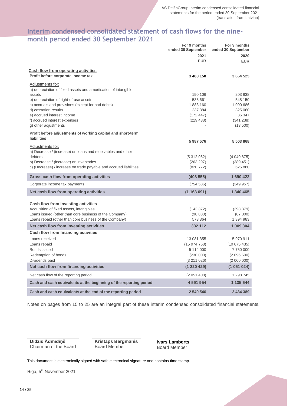## **Interim condensed consolidated statement of cash flows for the ninemonth period ended 30 September 2021**

|                                                                    | For 9 months<br>ended 30 September | For 9 months<br>ended 30 September |
|--------------------------------------------------------------------|------------------------------------|------------------------------------|
|                                                                    | 2021                               | 2020                               |
|                                                                    | <b>EUR</b>                         | <b>EUR</b>                         |
|                                                                    |                                    |                                    |
| Cash flow from operating activities                                |                                    |                                    |
| Profit before corporate income tax                                 | 3 480 150                          | 3 654 525                          |
| Adjustments for:                                                   |                                    |                                    |
| a) depreciation of fixed assets and amortisation of intangible     |                                    |                                    |
| assets                                                             | 190 106                            | 203 838                            |
| b) depreciation of right-of-use assets                             | 588 661                            | 548 150                            |
| c) accruals and provisions (except for bad debts)                  | 1883 160                           | 1 090 686                          |
| d) cessation results                                               | 237 384                            | 325 060                            |
| e) accrued interest income                                         | (172447)                           | 36 347                             |
| f) accrued interest expenses                                       | (219 438)                          | (341 238)                          |
| g) other adjustments                                               |                                    | (13 500)                           |
| Profit before adjustments of working capital and short-term        |                                    |                                    |
| <b>liabilities</b>                                                 | 5987576                            | 5 503 868                          |
| Adjustments for:                                                   |                                    |                                    |
| a) Decrease / (increase) on loans and receivables and other        |                                    |                                    |
| debtors                                                            | (5312062)                          | (4049875)                          |
| b) Decrease / (increase) on inventories                            | (263 297)                          | (389 451)                          |
| c) (Decrease) / increase on trade payable and accrued liabilities  | (820 772)                          | 625 880                            |
| Gross cash flow from operating activities                          | (408555)                           | 1 690 422                          |
| Corporate income tax payments                                      | (754 536)                          | (349957)                           |
| Net cash flow from operating activities                            | (1163091)                          | 1 340 465                          |
|                                                                    |                                    |                                    |
| Cash flow from investing activities                                |                                    |                                    |
| Acquisition of fixed assets, intangibles                           | (142372)                           | (298 379)                          |
| Loans issued (other than core business of the Company)             | (98 880)                           | (87300)                            |
| Loans repaid (other than core business of the Company)             | 573 364                            | 1 394 983                          |
| Net cash flow from investing activities                            | 332 112                            | 1 009 304                          |
| Cash flow from financing activities                                |                                    |                                    |
| Loans received                                                     | 13 081 355                         | 5970911                            |
| Loans repaid                                                       | (15974758)                         | (10675435)                         |
| Bonds issued                                                       | 5 114 000                          | 7750000                            |
| Redemption of bonds                                                | (230 000)                          | (2 096 500)                        |
| Dividends paid                                                     | (3211026)                          | (2 000 000)                        |
| Net cash flow from financing activities                            | (1 220 429)                        | (1051024)                          |
| Net cash flow of the reporting period                              | (2 051 408)                        | 1 298 745                          |
| Cash and cash equivalents at the beginning of the reporting period | 4 591 954                          | 1 135 644                          |
| Cash and cash equivalents at the end of the reporting period       | 2 540 546                          | 2 434 389                          |

Notes on pages from 15 to 25 are an integral part of these interim condensed consolidated financial statements.

**Didzis Ādmīdiņš** Chairman of the Board **Kristaps Bergmanis** Board Member

**Ivars Lamberts** Board Member

This document is electronically signed with safe electronical signature and contains time stamp.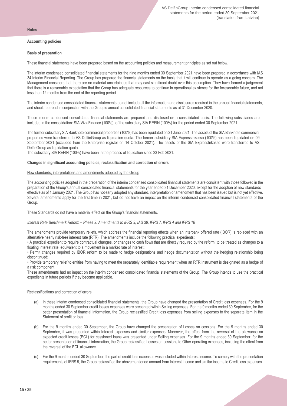#### **Notes**

#### **Accounting policies**

#### **Basis of preparation**

These financial statements have been prepared based on the accounting policies and measurement principles as set out below.

The interim condensed consolidated financial statements for the nine months ended 30 September 2021 have been prepared in accordance with IAS 34 Interim Financial Reporting. The Group has prepared the financial statements on the basis that it will continue to operate as a going concern. The Management considers that there are no material uncertainties that may cast significant doubt over this assumption. They have formed a judgement that there is a reasonable expectation that the Group has adequate resources to continue in operational existence for the foreseeable future, and not less than 12 months from the end of the reporting period.

The interim condensed consolidated financial statements do not include all the information and disclosures required in the annual financial statements, and should be read in conjunction with the Group's annual consolidated financial statements as at 31 December 2020.

These interim condensed consolidated financial statements are prepared and disclosed on a consolidated basis. The following subsidiaries are included in the consolidation: SIA ViziaFinance (100%), of the subsidiary SIA REFIN (100%) for the period ended 30 September 2021.

The former subsidiary SIA Banknote commercial properties (100%) has been liquidated on 21 June 2021. The assets of the SIA Banknote commercial properties were transferred to AS DelfinGroup as liquidation quota. The former subsidiary SIA ExpressInkasso (100%) has been liquidated on 09 September 2021 (excluded from the Enterprise register on 14 October 2021). The assets of the SIA ExpressInkasso were transferred to AS DelfinGroup as liquidation quota.

The subsidiary SIA REFIN (100%) have been in the process of liquidation since 23 Feb 2021.

#### **Changes in significant accounting policies, reclassification and correction of errors**

#### New standards, interpretations and amendments adopted by the Group

The accounting policies adopted in the preparation of the interim condensed consolidated financial statements are consistent with those followed in the preparation of the Group's annual consolidated financial statements for the year ended 31 December 2020, except for the adoption of new standards effective as of 1 January 2021. The Group has not early adopted any standard, interpretation or amendment that has been issued but is not yet effective. Several amendments apply for the first time in 2021, but do not have an impact on the interim condensed consolidated financial statements of the Group.

These Standards do not have a material effect on the Group's financial statements.

#### *Interest Rate Benchmark Reform – Phase 2: Amendments to IFRS 9, IAS 39, IFRS 7, IFRS 4 and IFRS 16*

The amendments provide temporary reliefs, which address the financial reporting effects when an interbank offered rate (IBOR) is replaced with an alternative nearly risk-free interest rate (RFR). The amendments include the following practical expedients:

• A practical expedient to require contractual changes, or changes to cash flows that are directly required by the reform, to be treated as changes to a floating interest rate, equivalent to a movement in a market rate of interest;

• Permit changes required by IBOR reform to be made to hedge designations and hedge documentation without the hedging relationship being discontinued;

• Provide temporary relief to entities from having to meet the separately identifiable requirement when an RFR instrument is designated as a hedge of a risk component.

These amendments had no impact on the interim condensed consolidated financial statements of the Group. The Group intends to use the practical expedients in future periods if they become applicable.

#### Reclassifications and correction of errors

- (a) In these interim condensed consolidated financial statements, the Group have changed the presentation of Credit loss expenses. For the 9 months ended 30 September credit losses expenses were presented within Selling expenses. For the 9 months ended 30 September, for the better presentation of financial information, the Group reclassified Credit loss expenses from selling expenses to the separate item in the Statement of profit or loss.
- (b) For the 9 months ended 30 September, the Group have changed the presentation of Losses on cessions. For the 9 months ended 30 September, it was presented within Interest expenses and similar expenses. Moreover, the effect from the reversal of the allowance on expected credit losses (ECL) for cessioned loans was presented under Selling expenses. For the 9 months ended 30 September, for the better presentation of financial information, the Group reclassified Losses on cessions to Other operating expenses, including the effect from the reversal of the ECL allowance.
- (c) For the 9 months ended 30 September, the part of credit loss expenses was included within Interest income. To comply with the presentation requirements of IFRS 9, the Group reclassified the abovementioned amount from Interest income and similar income to Credit loss expenses.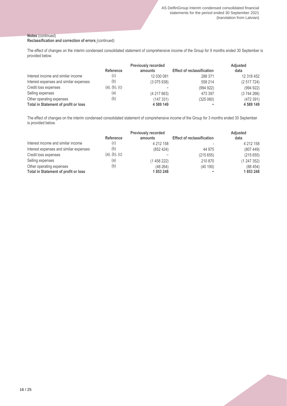#### **Notes** (continued)

#### **Reclassification and correction of errors** (continued)

The effect of changes on the interim condensed consolidated statement of comprehensive income of the Group for 9 months ended 30 September is provided below.

|                                             | <b>Previously recorded</b> |            |                                   | <b>Adjusted</b> |
|---------------------------------------------|----------------------------|------------|-----------------------------------|-----------------|
|                                             | Reference                  | amounts    | <b>Effect of reclassification</b> | data            |
| Interest income and similar income          | (c)                        | 12 030 081 | 288 371                           | 12 318 452      |
| Interest expenses and similar expenses      | (b)                        | (3075938)  | 558 214                           | (2517724)       |
| Credit loss expenses                        | (a), (b), (c)              |            | (994922)                          | (994922)        |
| Selling expenses                            | (a)                        | (4217663)  | 473 397                           | (3744266)       |
| Other operating expenses                    | (b)                        | (147 331)  | (325060)                          | (472391)        |
| <b>Total in Statement of profit or loss</b> |                            | 4 589 149  |                                   | 4 589 149       |

The effect of changes on the interim condensed consolidated statement of comprehensive income of the Group for 3 months ended 30 September is provided below.

|                                             | <b>Previously recorded</b> |           |                                   | <b>Adjusted</b> |
|---------------------------------------------|----------------------------|-----------|-----------------------------------|-----------------|
|                                             | <b>Reference</b>           | amounts   | <b>Effect of reclassification</b> | data            |
| Interest income and similar income          | (c)                        | 4 212 158 |                                   | 4 212 158       |
| Interest expenses and similar expenses      | (b)                        | (852 424) | 44 975                            | (807449)        |
| Credit loss expenses                        | (a), (b), (c)              |           | (215655)                          | (215655)        |
| Selling expenses                            | (a)                        | (1458222) | 210 870                           | (1247352)       |
| Other operating expenses                    | (b)                        | (48264)   | (40190)                           | (88454)         |
| <b>Total in Statement of profit or loss</b> |                            | 1853248   |                                   | 1853248         |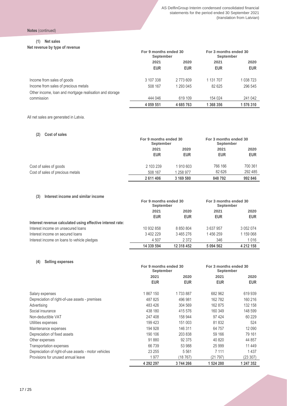**Notes** (continued)

#### **(1) Net sales**

**Net revenue by type of revenue**

|                                                         | For 9 months ended 30<br>September |            | For 3 months ended 30<br>September |            |      |
|---------------------------------------------------------|------------------------------------|------------|------------------------------------|------------|------|
|                                                         | 2021                               | 2020       | 2021                               |            | 2020 |
|                                                         | <b>EUR</b>                         | <b>EUR</b> | <b>EUR</b>                         | <b>EUR</b> |      |
| Income from sales of goods                              | 3 107 338                          | 2773609    | 1 131 707                          | 1 038 723  |      |
| Income from sales of precious metals                    | 508 167                            | 1 293 045  | 82 625                             | 296 545    |      |
| Other income, loan and mortgage realisation and storage |                                    |            |                                    |            |      |
| commission                                              | 444 046                            | 619 109    | 154 024                            | 241 042    |      |
|                                                         | 4 0 59 5 51                        | 4 685 763  | 1 368 356                          | 1 576 310  |      |

All net sales are generated in Latvia.

#### **(2) Cost of sales**

|                                  |                    | For 9 months ended 30<br>September |                    | For 3 months ended 30<br>September |  |
|----------------------------------|--------------------|------------------------------------|--------------------|------------------------------------|--|
|                                  | 2021<br><b>EUR</b> | 2020<br><b>EUR</b>                 | 2021<br><b>EUR</b> | 2020<br><b>EUR</b>                 |  |
| Cost of sales of goods           | 2 103 239          | 1910603                            | 766 166            | 700 361                            |  |
| Cost of sales of precious metals | 508 167            | 1258977                            | 82 626             | 292 485                            |  |
|                                  | 2 611 406          | 3 169 580                          | 848792             | 992 846                            |  |

#### **(3) Interest income and similar income**

|                                                            | For 9 months ended 30<br>September |            | For 3 months ended 30<br>September |               |
|------------------------------------------------------------|------------------------------------|------------|------------------------------------|---------------|
|                                                            | 2021                               | 2020       | 2021                               | 2020          |
|                                                            | <b>EUR</b>                         | <b>EUR</b> | <b>EUR</b>                         | <b>EUR</b>    |
| Interest revenue calculated using effective interest rate: |                                    |            |                                    |               |
| Interest income on unsecured loans                         | 10 932 858                         | 8 850 804  | 3 637 957                          | 3 0 5 2 0 7 4 |
| Interest income on secured loans                           | 3 402 229                          | 3465276    | 1456259                            | 1 159 068     |
| Interest income on loans to vehicle pledges                | 4 507                              | 2 3 7 2    | 346                                | 1016          |
|                                                            | 14 339 594                         | 12 318 452 | 5 0 9 4 5 6 2                      | 4 212 158     |

#### **(4) Selling expenses**

|                                                      | For 9 months ended 30<br>September |            | For 3 months ended 30<br>September |            |
|------------------------------------------------------|------------------------------------|------------|------------------------------------|------------|
|                                                      | 2021                               | 2020       | 2021                               | 2020       |
|                                                      | <b>EUR</b>                         | <b>EUR</b> | <b>EUR</b>                         | <b>EUR</b> |
| Salary expenses                                      | 1867150                            | 1733887    | 682 962                            | 619 939    |
| Depreciation of right-of-use assets - premises       | 487 825                            | 496 981    | 162782                             | 160 216    |
| Advertising                                          | 483 426                            | 304 569    | 162 875                            | 132 158    |
| Social insurance                                     | 438 180                            | 415 576    | 160 349                            | 148 599    |
| Non-deductible VAT                                   | 247 408                            | 158 944    | 97 4 24                            | 60 229     |
| Utilities expenses                                   | 199 423                            | 151 003    | 81 832                             | 524        |
| Maintenance expenses                                 | 194 928                            | 146 311    | 64 757                             | 12 090     |
| Depreciation of fixed assets                         | 190 106                            | 203 838    | 59 166                             | 79 161     |
| Other expenses                                       | 91 880                             | 92 375     | 40 820                             | 44 857     |
| Transportation expenses                              | 66 739                             | 53 988     | 25 9 9 9                           | 11 449     |
| Depreciation of right-of-use assets - motor vehicles | 23 255                             | 5 5 6 1    | 7 111                              | 1437       |
| Provisions for unused annual leave                   | 1977                               | (18767)    | (21 797)                           | (23 307)   |
|                                                      | 4 292 297                          | 3744266    | 1 524 280                          | 1 247 352  |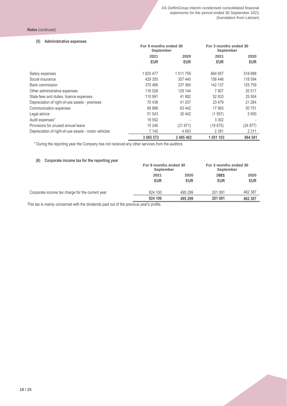#### **(5) Administrative expenses**

|                                                      | For 9 months ended 30<br>September |            | For 3 months ended 30<br>September |            |
|------------------------------------------------------|------------------------------------|------------|------------------------------------|------------|
|                                                      | 2021                               | 2020       | 2021                               | 2020       |
|                                                      | <b>EUR</b>                         | <b>EUR</b> | <b>EUR</b>                         | <b>EUR</b> |
| Salary expenses                                      | 1825477                            | 1511759    | 664 957                            | 518888     |
| Social insurance                                     | 429 300                            | 357 440    | 156 446                            | 118 594    |
| <b>Bank commission</b>                               | 370466                             | 337 364    | 142 137                            | 125 759    |
| Other administrative expenses                        | 116 528                            | 129 144    | 7807                               | 20 517     |
| State fees and duties, licence expenses              | 110 991                            | 41882      | 52 833                             | 25 504     |
| Depreciation of right-of-use assets - premises       | 70 436                             | 41 207     | 23 4 7 9                           | 21 284     |
| Communication expenses                               | 68 888                             | 63 4 42    | 17 993                             | 50 751     |
| Legal advice                                         | 51 543                             | 30 442     | (1557)                             | 5950       |
| Audit expenses*                                      | 19 552                             |            | 3 3 0 2                            |            |
| Provisions for unused annual leave                   | 15 24 6                            | (21971)    | (18675)                            | (24977)    |
| Depreciation of right-of-use assets - motor vehicles | 7 1 4 5                            | 4 6 9 3    | 2 3 8 1                            | 2 3 1 1    |
|                                                      | 3 085 572                          | 2 495 402  | 1051103                            | 864 581    |

\* During the reporting year the Company has not received any other services from the auditors.

#### **(6) Corporate income tax for the reporting year**

|                                                  | For 9 months ended 30<br>September |                    | For 3 months ended 30<br>September |                    |
|--------------------------------------------------|------------------------------------|--------------------|------------------------------------|--------------------|
|                                                  | 2021<br><b>EUR</b>                 | 2020<br><b>EUR</b> | 2021<br><b>EUR</b>                 | 2020<br><b>EUR</b> |
| Corporate income tax charge for the current year | 824 100                            | 495 299            | 201 091                            | 462 387            |
|                                                  | 824 100                            | 495 299            | 201 091                            | 462 387            |

This tax is mainly concerned with the dividends paid out of the previous year's profits.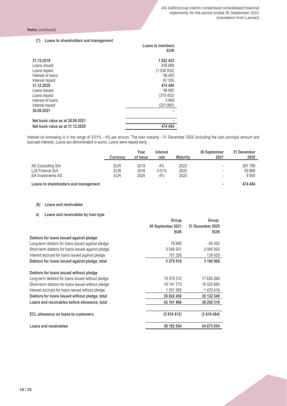#### **(7) Loans to shareholders and management**

| <u>Evano to onaronoraore and management</u>                                                                                                                              | Loans to members<br><b>EUR</b>                                                                               |
|--------------------------------------------------------------------------------------------------------------------------------------------------------------------------|--------------------------------------------------------------------------------------------------------------|
| 31.12.2019<br>Loans issued<br>Loans repaid<br>Interest of loans<br>Interest repaid<br>31.12.2020<br>Loans issued<br>Loans repaid<br>Interest of loans<br>Interest repaid | 1 022 423<br>438 669<br>(1036932)<br>56 450<br>(6126)<br>474 484<br>98 880<br>(375 453)<br>3969<br>(201 880) |
| 30.09.2021<br>Net book value as at 30.09.2021                                                                                                                            |                                                                                                              |
| Net book value as at 31.12.2020                                                                                                                                          | 474 484                                                                                                      |

Interest on borrowing is in the range of 3.01% - 4% per annum. The loan maturity - 31 December 2025 (including the loan principal amount and accrued interest). Loans are denominated in euros. Loans were repaid early.

|                                      | <b>Currency</b> | Year<br>of issue | Interest<br>rate | <b>Maturity</b> | 30 September<br>2021     | 31 December<br>2020 |
|--------------------------------------|-----------------|------------------|------------------|-----------------|--------------------------|---------------------|
|                                      | <b>EUR</b>      | 2019             | $4\%$            | 2023            |                          | 381 796             |
| AE Consulting SIA                    |                 |                  |                  |                 | $\overline{\phantom{a}}$ |                     |
| L24 Finance SIA                      | <b>EUR</b>      | 2016             | 3.01%            | 2025            | $\overline{\phantom{a}}$ | 83 688              |
| EA investments AS                    | <b>EUR</b>      | 2020             | 4%               | 2025            | $\overline{\phantom{a}}$ | 9 0 0 0             |
| Loans to shareholders and management |                 |                  |                  |                 | ۰                        | 474 484             |

#### **(8) Loans and receivables**

#### **a) Loans and receivables by loan type**

|                                                    | Group<br>30 September 2021<br><b>EUR</b> | Group<br>31 December 2020<br><b>EUR</b> |
|----------------------------------------------------|------------------------------------------|-----------------------------------------|
| Debtors for loans issued against pledge            |                                          |                                         |
| Long-term debtors for loans issued against pledge  | 79889                                    | 85 492                                  |
| Short-term debtors for loans issued against pledge | 3 048 301                                | 2 945 052                               |
| Interest accrued for loans issued against pledge   | 151 326                                  | 139 425                                 |
| Debtors for loans issued against pledge, total     | 3 279 516                                | 3 169 969                               |
| Debtors for loans issued without pledge            |                                          |                                         |
| Long-term debtors for loans issued without pledge  | 19 379 312                               | 17 626 266                              |
| Short-term debtors for loans issued without pledge | 18 191 773                               | 16 025 664                              |
| Interest accrued for loans issued without pledge   | 1 251 365                                | 1470419                                 |
| Debtors for loans issued without pledge, total     | 38 822 450                               | 35 122 349                              |
| Loans and receivables before allowance, total      | 42 101 966                               | 38 292 318                              |
| <b>ECL allowance on loans to customers</b>         | (3919412)                                | (3618464)                               |
| Loans and receivables                              | 38 182 554                               | 34 673 854                              |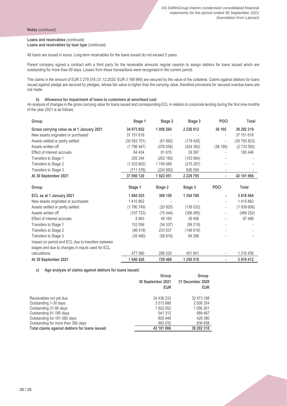### **Loans and receivables** (continued)

**Loans and receivables by loan type** (continued)

All loans are issued in euros. Long-term receivables for the loans issued do not exceed 5 years.

Parent company signed a contract with a third party for the receivable amounts regular cession to assign debtors for loans issued which are outstanding for more than 90 days. Losses from these transactions were recognised in the current period.

The claims in the amount of EUR 3 279 516 (31.12.2020: EUR 3 169 969) are secured by the value of the collateral. Claims against debtors for loans issued against pledge are secured by pledges, whose fair value is higher than the carrying value, therefore provisions for secured overdue loans are not made.

#### **b) Allowance for impairment of loans to customers at amortised cost**

An analysis of changes in the gross carrying value for loans issued and corresponding ECL in relation to corporate lending during the first nine months of the year 2021 is as follows:

| Group                                             | Stage 1      | Stage 2   | Stage 3       | <b>POCI</b>              | <b>Total</b> |
|---------------------------------------------------|--------------|-----------|---------------|--------------------------|--------------|
| Gross carrying value as at 1 January 2021         | 34 973 852   | 1056260   | 2 2 2 6 0 1 2 | 36 195                   | 38 292 319   |
| New assets originated or purchased                | 37 151 616   |           |               | $\overline{\phantom{0}}$ | 37 151 616   |
| Assets settled or partly settled                  | (30 552 701) | (61692)   | (179 430)     | $\overline{\phantom{0}}$ | (30 793 823) |
| Assets written off                                | (1796947)    | (476058)  | (424 392)     | (36 195)                 | (2733592)    |
| Effect of interest accruals                       | 64 434       | 81 615    | 39 397        |                          | 185 446      |
| Transfers to Stage 1                              | 355 244      | (202 180) | (153064)      |                          |              |
| Transfers to Stage 2                              | (1533802)    | 1749089   | (215 287)     |                          |              |
| Transfers to Stage 3                              | (711576)     | (224 983) | 936 559       |                          |              |
| At 30 September 2021                              | 37 950 120   | 1922051   | 2 2 2 9 7 9 5 | ٠                        | 42 101 966   |
|                                                   |              |           |               |                          |              |
| Group                                             | Stage 1      | Stage 2   | Stage 3       | <b>POCI</b>              | Total        |
| ECL as at 1 January 2021                          | 1894525      | 369 159   | 1 354 780     | ۰                        | 3 618 464    |
| New assets originated or purchased                | 1415862      |           |               | $\overline{\phantom{0}}$ | 1415862      |
| Assets settled or partly settled                  | (1780749)    | (20825)   | (138032)      | $\overline{\phantom{0}}$ | (1939606)    |
| Assets written off                                | (107723)     | (75444)   | (306085)      | -                        | (489 252)    |
| Effect of interest accruals                       | 8 8 6 3      | 49 169    | 39 45 6       | ٠                        | 97 488       |
| Transfers to Stage 1                              | 153 556      | (54337)   | (99 219)      |                          |              |
| Transfers to Stage 2                              | (86 418)     | 233 037   | (146619)      |                          |              |
| Transfers to Stage 3                              | (35 480)     | (58 816)  | 94 296        |                          |              |
| Impact on period end ECL due to transfers between |              |           |               |                          |              |
| stages and due to changes in inputs used for ECL  |              |           |               |                          |              |
| calculations                                      | 477 990      | 286 525   | 451 941       |                          | 1 216 456    |
| At 30 September 2021                              | 1940 426     | 728 468   | 1 250 518     | ٠                        | 3 919 412    |

**c) Age analysis of claims against debtors for loans issued:**

|                                               | Group             | Group            |
|-----------------------------------------------|-------------------|------------------|
|                                               | 30 September 2021 | 31 December 2020 |
|                                               | <b>EUR</b>        | <b>EUR</b>       |
| Receivables not yet due                       | 34 436 233        | 32 473 188       |
| Outstanding 1-30 days                         | 3 513 888         | 2 508 354        |
| Outstanding 31-90 days                        | 1922052           | 1056261          |
| Outstanding 91-180 days                       | 541 312           | 989 467          |
| Outstanding for 181-360 days                  | 805 449           | 428 390          |
| Outstanding for more than 360 days            | 883 032           | 836 658          |
| Total claims against debtors for loans issued | 42 101 966        | 38 292 318       |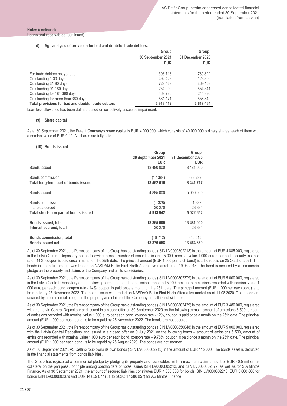#### **Notes** (continued) **Loans and receivables** (continued)

#### **d) Age analysis of provision for bad and doubtful trade debtors:**

|                                                    | Group             | Group            |
|----------------------------------------------------|-------------------|------------------|
|                                                    | 30 September 2021 | 31 December 2020 |
|                                                    | <b>EUR</b>        | <b>EUR</b>       |
| For trade debtors not yet due                      | 1 393 713         | 1769822          |
| Outstanding 1-30 days                              | 492 428           | 123 306          |
| Outstanding 31-90 days                             | 728 468           | 369 159          |
| Outstanding 91-180 days                            | 254 902           | 554 341          |
| Outstanding for 181-360 days                       | 468 730           | 244 996          |
| Outstanding for more than 360 days                 | 581 171           | 556 840          |
| Total provisions for bad and doubful trade debtors | 3 919 412         | 3 618 464        |

Loan loss allowance has been defined based on collectively assessed impairment.

#### **(9) Share capital**

As at 30 September 2021, the Parent Company's share capital is EUR 4 000 000, which consists of 40 000 000 ordinary shares, each of them with a nominal value of EUR 0.10. All shares are fully paid.

#### **(10) Bonds issued**

|                                       | Group<br>30 September 2021<br><b>EUR</b> | Group<br>31 December 2020<br><b>EUR</b> |
|---------------------------------------|------------------------------------------|-----------------------------------------|
| Bonds issued                          | 13 480 000                               | 8 481 000                               |
| Bonds commission                      | (17384)                                  | (39 283)                                |
| Total long-term part of bonds issued  | 13 462 616                               | 8 441 717                               |
| Bonds issued                          | 4 885 000                                | 5 000 000                               |
| Bonds commission                      | (1328)                                   | (1232)                                  |
| Interest accrued                      | 30 270                                   | 23 884                                  |
| Total short-term part of bonds issued | 4 913 942                                | 5 022 652                               |
| Bonds issued, total                   | 18 365 000                               | 13 481 000                              |
| Interest accrued, total               | 30 270                                   | 23 884                                  |
| <b>Bonds commission, total</b>        | (18 712)                                 | (40 515)                                |
| <b>Bonds issued net</b>               | 18 376 558                               | 13 464 369                              |

As of 30 September 2021, the Parent company of the Group has outstanding bonds (ISIN LV0000802213) in the amount of EUR 4 885 000, registered in the Latvia Central Depository on the following terms – number of securities issued: 5 000, nominal value 1 000 euros per each security, coupon rate - 14%, coupon is paid once a month on the 25th date. The principal amount (EUR 1 000 per each bond) is to be repaid on 25 October 2021. The bonds issue in full amount was traded on NASDAQ Baltic First North Alternative market as of 19.03.2018. The bond is secured by a commercial pledge on the property and claims of the Company and all its subsidiaries.

As of 30 September 2021, the Parent company of the Group has outstanding bonds (ISIN LV0000802379) in the amount of EUR 5 000 000, registered in the Latvia Central Depository on the following terms – amount of emissions recorded 5 000, amount of emissions recorded with nominal value 1 000 euro per each bond, coupon rate - 14%, coupon is paid once a month on the 25th date. The principal amount (EUR 1 000 per each bond) is to be repaid by 25 November 2022. The bonds issue was traded on NASDAQ Baltic First North Alternative market as of 11.08.2020. The bonds are secured by a commercial pledge on the property and claims of the Company and all its subsidiaries.

As of 30 September 2021, the Parent company of the Group has outstanding bonds (ISIN LV0000802429) in the amount of EUR 3 480 000, registered with the Latvia Central Depository and issued in a closed offer on 30 September 2020 on the following terms – amount of emissions 3 500, amount of emissions recorded with nominal value 1 000 euro per each bond, coupon rate - 12%, coupon is paid once a month on the 25th date. The principal amount (EUR 1 000 per each bond) is to be repaid by 25 November 2022. The bonds are not secured.

As of 30 September 2021, the Parent company of the Group has outstanding bonds (ISIN LV0000850048) in the amount of EUR 5 000 000, registered with the Latvia Central Depository and issued in a closed offer on 9 July 2021 on the following terms – amount of emissions 5 500, amount of emissions recorded with nominal value 1 000 euro per each bond, coupon rate – 9.75%, coupon is paid once a month on the 25th date. The principal amount (EUR 1 000 per each bond) is to be repaid by 25 August 2023. The bonds are not secured.

As of 30 September 2021, AS DelfinGroup owns its own bonds (ISIN LV0000802213) in the amount of EUR 115 000. The bonds asset is deducted in the financial statements from bonds liabilities.

The Group has registered a commercial pledge by pledging its property and receivables, with a maximum claim amount of EUR 40.5 million as collateral on the pari passu principle among bondholders of notes issues ISIN LV0000802213, and ISIN LV0000802379, as well as for SIA Mintos Finance. As of 30 September 2021, the amount of secured liabilities constitutes EUR 4 885 000 for bonds ISIN LV0000802213, EUR 5 000 000 for bonds ISIN LV0000802379 and EUR 14 859 077 (31.12.2020: 17 286 857) for AS Mintos Finance.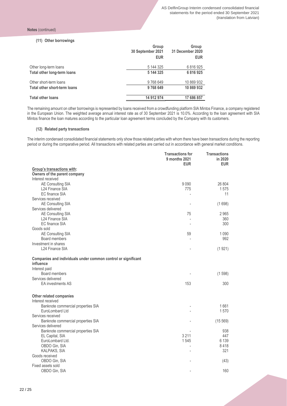#### **(11) Other borrowings**

| <b>EUR</b>                               | <b>EUR</b> |
|------------------------------------------|------------|
| 5 144 325<br>Other long-term loans       | 6816925    |
| Total other long-term loans<br>5 144 325 | 6816925    |
| 9768649<br>Other short-term loans        | 10 869 932 |
| 9768649<br>Total other short-term loans  | 10 869 932 |
| 14 912 974<br><b>Total other loans</b>   | 17 686 857 |

The remaining amount on other borrowings is represented by loans received from a crowdfunding platform SIA Mintos Finance, a company registered in the European Union. The weighted average annual interest rate as of 30 September 2021 is 10.0%. According to the loan agreement with SIA Mintos finance the loan matures according to the particular loan agreement terms concluded by the Company with its customers.

#### **(12) Related party transactions**

The interim condensed consolidated financial statements only show those related parties with whom there have been transactions during the reporting period or during the comparative period. All transactions with related parties are carried out in accordance with general market conditions.

|                                                                            | <b>Transactions for</b><br>9 months 2021<br><b>EUR</b> | <b>Transactions</b><br>in 2020<br><b>EUR</b> |
|----------------------------------------------------------------------------|--------------------------------------------------------|----------------------------------------------|
| Group's transactions with:                                                 |                                                        |                                              |
| Owners of the parent company                                               |                                                        |                                              |
| Interest received                                                          |                                                        |                                              |
| AE Consulting SIA                                                          | 9 0 9 0                                                | 26 804                                       |
| L24 Finance SIA                                                            | 775                                                    | 1575                                         |
| EC finance SIA                                                             |                                                        | 11                                           |
| Services received                                                          |                                                        |                                              |
| AE Consulting SIA                                                          |                                                        | (1698)                                       |
| Services delivered                                                         |                                                        |                                              |
| AE Consulting SIA                                                          | 75                                                     | 2 9 6 5                                      |
| L24 Finance SIA                                                            |                                                        | 360                                          |
| <b>EC</b> finance SIA                                                      |                                                        | 300                                          |
| Goods sold                                                                 |                                                        |                                              |
| AE Consulting SIA<br>Board members                                         | 59                                                     | 1 0 9 0<br>992                               |
| Investment in shares                                                       |                                                        |                                              |
| L24 Finance SIA                                                            |                                                        | (1921)                                       |
|                                                                            |                                                        |                                              |
| Companies and individuals under common control or significant<br>influence |                                                        |                                              |
| Interest paid                                                              |                                                        |                                              |
| Board members<br>Services delivered                                        |                                                        | (1598)                                       |
| <b>EA</b> investments AS                                                   | 153                                                    | 300                                          |
|                                                                            |                                                        |                                              |
| Other related companies                                                    |                                                        |                                              |
| Interest received<br>Banknote commercial properties SIA                    |                                                        | 1661                                         |
| EuroLombard Ltd                                                            |                                                        | 1570                                         |
| Services received                                                          |                                                        |                                              |
| Banknote commercial properties SIA                                         |                                                        | (15 569)                                     |
| Services delivered                                                         |                                                        |                                              |
| Banknote commercial properties SIA                                         |                                                        | 938                                          |
| EL Capital, SIA                                                            | 3 2 1 1                                                | 447                                          |
| EuroLombard Ltd.                                                           | 1545                                                   | 6 1 3 9                                      |
| OBDO Gin, SIA                                                              |                                                        | 8418                                         |
| KALPAKS, SIA                                                               |                                                        | 321                                          |
| Goods received                                                             |                                                        |                                              |
| OBDO Gin, SIA                                                              |                                                        | (43)                                         |
| Fixed assets sold                                                          |                                                        |                                              |
| OBDO Gin, SIA                                                              |                                                        | 160                                          |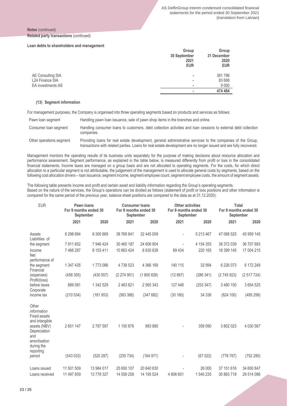#### **Notes** (continued) **Related party transactions** (continued)

#### **Loan debts to shareholders and management**

|                   | Group<br>30 September<br>2021<br><b>EUR</b> | Group<br>31 December<br>2020<br><b>EUR</b> |
|-------------------|---------------------------------------------|--------------------------------------------|
| AE Consulting SIA | ٠                                           | 381796                                     |
| L24 Finance SIA   | ۰                                           | 83 688                                     |
| EA investments AS | ٠                                           | 9 0 0 0                                    |
|                   |                                             | 474 484                                    |

#### **(13) Segment information**

For management purposes, the Company is organised into three operating segments based on products and services as follows:

| Pawn loan segment        | Handling pawn loan issuance, sale of pawn shop items in the branches and online.                                                                                                                                                  |
|--------------------------|-----------------------------------------------------------------------------------------------------------------------------------------------------------------------------------------------------------------------------------|
| Consumer loan segment    | Handling consumer loans to customers, debt collection activities and loan cessions to external debt collection<br>companies.                                                                                                      |
| Other operations segment | Providing loans for real estate development, general administrative services to the companies of the Group,<br>transactions with related parties. Loans for real estate development are no longer issued and are fully recovered. |

Management monitors the operating results of its business units separately for the purpose of making decisions about resource allocation and performance assessment. Segment performance, as explained in the table below, is measured differently from profit or loss in the consolidated financial statements. Income taxes are managed on a group basis and are not allocated to operating segments. For the costs, for which direct allocation to a particular segment is not attributable, the judgement of the management is used to allocate general costs by segments, based on the following cost allocation drivers – loan issuance, segment income, segment employee count, segment employee costs, the amount of segment assets.

The following table presents income and profit and certain asset and liability information regarding the Group's operating segments. Based on the nature of the services, the Group's operations can be divided as follows (statement of profit or loss positions and other information is compared for the same period of the previous year, balance sheet positions are compared to the data as at 31.12.2020):

| <b>EUR</b>                                                                                                                                      | Pawn loans<br>For 9 months ended 30<br>September |            | <b>Consumer loans</b><br>For 9 months ended 30<br>September |            | <b>Other activities</b><br>For 9 months ended 30<br>September |           | <b>Total</b><br>For 9 months ended 30<br>September |            |
|-------------------------------------------------------------------------------------------------------------------------------------------------|--------------------------------------------------|------------|-------------------------------------------------------------|------------|---------------------------------------------------------------|-----------|----------------------------------------------------|------------|
|                                                                                                                                                 | 2021                                             | 2020       | 2021                                                        | 2020       | 2021                                                          | 2020      | 2021                                               | 2020       |
| Assets<br>Liabilities of                                                                                                                        | 8 298 684                                        | 8 300 669  | 38 769 841                                                  | 32 445 009 |                                                               | 5 213 467 | 47 068 525                                         | 45 959 145 |
| the segment                                                                                                                                     | 7 911 852                                        | 7 946 424  | 30 460 187                                                  | 24 606 904 |                                                               | 4 154 355 | 38 372 039                                         | 36 707 683 |
| Income<br>Net                                                                                                                                   | 7 466 287                                        | 8 153 411  | 10 863 424                                                  | 8 630 639  | 69 4 34                                                       | 220 165   | 18 399 145                                         | 17 004 215 |
| performance of<br>the segment<br>Financial                                                                                                      | 1 347 435                                        | 1773086    | 4738523                                                     | 4 366 169  | 140 115                                                       | 32 994    | 6 226 073                                          | 6 172 249  |
| (expenses)<br>Profit/(loss)                                                                                                                     | (458355)                                         | (430 557)  | (2274901)                                                   | (1800826)  | (12667)                                                       | (286 341) | (2745923)                                          | (2517724)  |
| before taxes<br>Corporate                                                                                                                       | 889 081                                          | 1 342 529  | 2 463 621                                                   | 2 565 343  | 127 448                                                       | (253 347) | 3 480 150                                          | 3 654 525  |
| income tax                                                                                                                                      | (210534)                                         | (181953)   | (583 386)                                                   | (347682)   | (30 180)                                                      | 34 336    | (824 100)                                          | (495 299)  |
| Other<br>information<br><b>Fixed assets</b><br>and intangible<br>assets (NBV)<br>Depreciation<br>and<br>amortisation<br>during the<br>reporting | 2651147                                          | 2787597    | 1 150 876                                                   | 883 880    |                                                               | 359 090   | 3 802 023                                          | 4 030 567  |
| period                                                                                                                                          | (543033)                                         | (520 287)  | (235 734)                                                   | (164971)   |                                                               | (67022)   | (778767)                                           | (752 280)  |
| Loans issued                                                                                                                                    | 11 501 509                                       | 13 984 017 | 25 650 107                                                  | 20 640 830 |                                                               | 26 000    | 37 151 616                                         | 34 650 847 |
| Loans received                                                                                                                                  | 11 497 859                                       | 13 778 327 | 14 559 258                                                  | 14 195 524 | 4 806 601                                                     | 1 540 235 | 30 863 718                                         | 29 514 086 |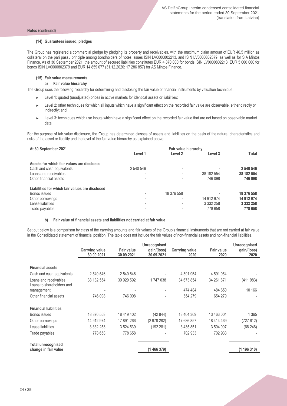#### **(14) Guarantees issued, pledges**

The Group has registered a commercial pledge by pledging its property and receivables, with the maximum claim amount of EUR 40.5 million as collateral on the pari passu principle among bondholders of notes issues ISIN LV0000802213, and ISIN LV0000802379, as well as for SIA Mintos Finance. As of 30 September 2021, the amount of secured liabilities constitutes EUR 4 870 000 for bonds ISIN LV0000802213, EUR 5 000 000 for bonds ISIN LV0000802379 and EUR 14 859 077 (31.12.2020: 17 286 857) for AS Mintos Finance.

#### **(15) Fair value measurements**

#### **a) Fair value hierarchy**

The Group uses the following hierarchy for determining and disclosing the fair value of financial instruments by valuation technique:

- ► Level 1: quoted (unadjusted) prices in active markets for identical assets or liabilities;
- ► Level 2: other techniques for which all inputs which have a significant effect on the recorded fair value are observable, either directly or indirectly; and
- ► Level 3: techniques which use inputs which have a significant effect on the recorded fair value that are not based on observable market data.

For the purpose of fair value disclosure, the Group has determined classes of assets and liabilities on the basis of the nature, characteristics and risks of the asset or liability and the level of the fair value hierarchy as explained above.

| At 30 September 2021                            |           |            |               |               |
|-------------------------------------------------|-----------|------------|---------------|---------------|
|                                                 | Level 1   | Level 2    | Level 3       | Total         |
| Assets for which fair values are disclosed      |           |            |               |               |
| Cash and cash equivalents                       | 2 540 546 |            |               | 2 540 546     |
| Loans and receivables                           |           | ٠          | 38 182 554    | 38 182 554    |
| Other financial assets                          |           |            | 746 098       | 746 098       |
| Liabilities for which fair values are disclosed |           |            |               |               |
| Bonds issued                                    |           | 18 376 558 |               | 18 376 558    |
| Other borrowings                                |           |            | 14 912 974    | 14 912 974    |
| Lease liabilities                               | ۰         | ٠          | 3 3 3 2 2 5 8 | 3 3 3 2 2 5 8 |
| Trade payables                                  |           |            | 778 658       | 778 658       |

#### **b) Fair value of financial assets and liabilities not carried at fair value**

Set out below is a comparison by class of the carrying amounts and fair values of the Group's financial instruments that are not carried at fair value in the Consolidated statement of financial position. The table does not include the fair values of non-financial assets and non-financial liabilities.

|                                                    |                       |                   | <b>Unrecognised</b>      |                       |                   | Unrecognised |
|----------------------------------------------------|-----------------------|-------------------|--------------------------|-----------------------|-------------------|--------------|
|                                                    | <b>Carrying value</b> | <b>Fair value</b> | gain/(loss)              | <b>Carrying value</b> | <b>Fair value</b> | gain/(loss)  |
|                                                    | 30.09.2021            | 30.09.2021        | 30.09.2021               | 2020                  | 2020              | 2020         |
|                                                    |                       |                   |                          |                       |                   |              |
| <b>Financial assets</b>                            |                       |                   |                          |                       |                   |              |
| Cash and cash equivalents                          | 2 540 546             | 2 540 546         |                          | 4 591 954             | 4 591 954         |              |
| Loans and receivables<br>Loans to shareholders and | 38 182 554            | 39 929 592        | 1747038                  | 34 673 854            | 34 261 871        | (411983)     |
| management                                         |                       |                   |                          | 474 484               | 484 650           | 10 166       |
| Other financial assets                             | 746 098               | 746 098           | $\overline{\phantom{0}}$ | 654 279               | 654 279           |              |
| <b>Financial liabilities</b>                       |                       |                   |                          |                       |                   |              |
| Bonds issued                                       | 18 376 558            | 18 419 402        | (42844)                  | 13 464 369            | 13 463 004        | 1 3 6 5      |
| Other borrowings                                   | 14 912 974            | 17 891 266        | (2 978 282)              | 17 686 857            | 18 414 469        | (727612)     |
| Lease liabilities                                  | 3 3 3 2 2 5 8         | 3 524 539         | (192 281)                | 3 4 3 5 8 5 1         | 3 504 097         | (68246)      |
| Trade payables                                     | 778 658               | 778 658           |                          | 702 933               | 702 933           |              |
| <b>Total unrecognised</b>                          |                       |                   |                          |                       |                   |              |
| change in fair value                               |                       |                   | (1466379)                |                       |                   | (1196310)    |